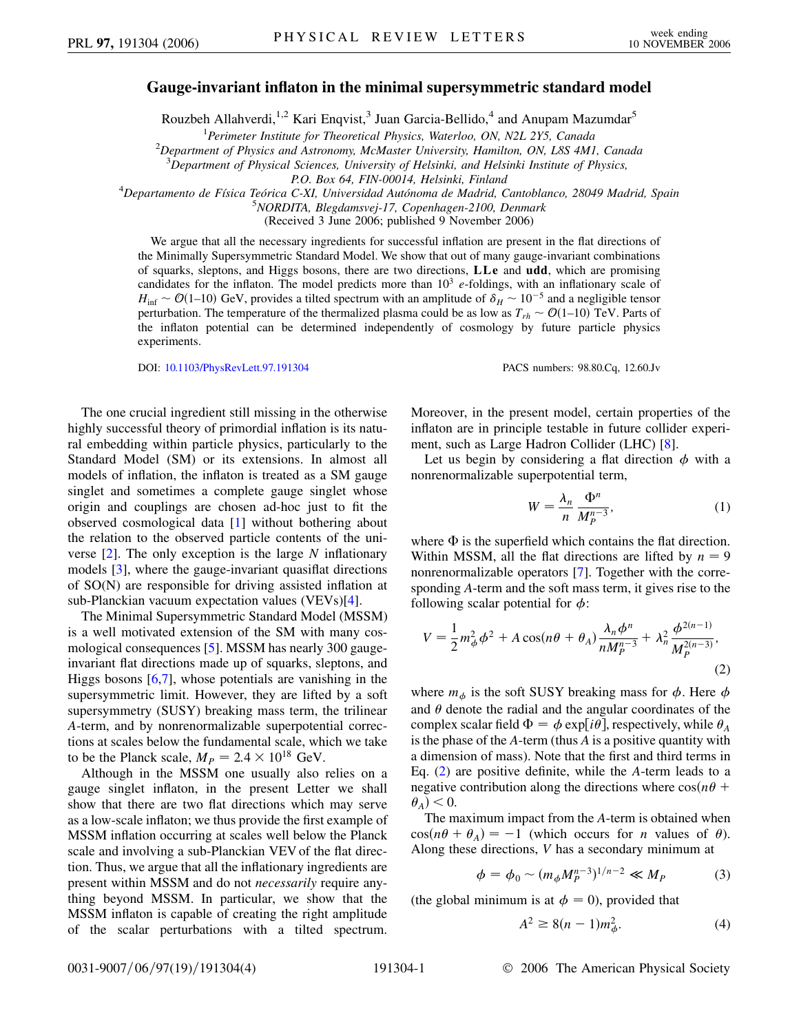## **Gauge-invariant inflaton in the minimal supersymmetric standard model**

Rouzbeh Allahverdi,<sup>1,2</sup> Kari Enqvist,<sup>3</sup> Juan Garcia-Bellido,<sup>4</sup> and Anupam Mazumdar<sup>5</sup>

<sup>1</sup> *Perimeter Institute for Theoretical Physics, Waterloo, ON, N2L 2Y5, Canada* 2<br><sup>2</sup> *Penartment of Physics and Astronomy McMaster University Hamilton, ON, L8S AM* 

*Department of Physics and Astronomy, McMaster University, Hamilton, ON, L8S 4M1, Canada*

3 *Department of Physical Sciences, University of Helsinki, and Helsinki Institute of Physics,*

*P.O. Box 64, FIN-00014, Helsinki, Finland* <sup>4</sup>

*Departamento de Fı´sica Teo´rica C-XI, Universidad Auto´noma de Madrid, Cantoblanco, 28049 Madrid, Spain* <sup>5</sup>

*NORDITA, Blegdamsvej-17, Copenhagen-2100, Denmark*

(Received 3 June 2006; published 9 November 2006)

We argue that all the necessary ingredients for successful inflation are present in the flat directions of the Minimally Supersymmetric Standard Model. We show that out of many gauge-invariant combinations of squarks, sleptons, and Higgs bosons, there are two directions, **LLe** and **udd**, which are promising candidates for the inflaton. The model predicts more than  $10<sup>3</sup> e$ -foldings, with an inflationary scale of  $H_{\text{inf}} \sim \mathcal{O}(1-10)$  GeV, provides a tilted spectrum with an amplitude of  $\delta_H \sim 10^{-5}$  and a negligible tensor perturbation. The temperature of the thermalized plasma could be as low as  $T_{rh} \sim \mathcal{O}(1-10)$  TeV. Parts of the inflaton potential can be determined independently of cosmology by future particle physics experiments.

DOI: [10.1103/PhysRevLett.97.191304](http://dx.doi.org/10.1103/PhysRevLett.97.191304) PACS numbers: 98.80.Cq, 12.60.Jv

The one crucial ingredient still missing in the otherwise highly successful theory of primordial inflation is its natural embedding within particle physics, particularly to the Standard Model (SM) or its extensions. In almost all models of inflation, the inflaton is treated as a SM gauge singlet and sometimes a complete gauge singlet whose origin and couplings are chosen ad-hoc just to fit the observed cosmological data [[1\]](#page-3-0) without bothering about the relation to the observed particle contents of the universe [\[2\]](#page-3-1). The only exception is the large *N* inflationary models [[3](#page-3-2)], where the gauge-invariant quasiflat directions of SO(N) are responsible for driving assisted inflation at sub-Planckian vacuum expectation values (VEVs)[[4\]](#page-3-3).

The Minimal Supersymmetric Standard Model (MSSM) is a well motivated extension of the SM with many cosmological consequences [[5\]](#page-3-4). MSSM has nearly 300 gaugeinvariant flat directions made up of squarks, sleptons, and Higgs bosons  $[6,7]$  $[6,7]$  $[6,7]$  $[6,7]$ , whose potentials are vanishing in the supersymmetric limit. However, they are lifted by a soft supersymmetry (SUSY) breaking mass term, the trilinear *A*-term, and by nonrenormalizable superpotential corrections at scales below the fundamental scale, which we take to be the Planck scale,  $M_P = 2.4 \times 10^{18}$  GeV.

Although in the MSSM one usually also relies on a gauge singlet inflaton, in the present Letter we shall show that there are two flat directions which may serve as a low-scale inflaton; we thus provide the first example of MSSM inflation occurring at scales well below the Planck scale and involving a sub-Planckian VEV of the flat direction. Thus, we argue that all the inflationary ingredients are present within MSSM and do not *necessarily* require anything beyond MSSM. In particular, we show that the MSSM inflaton is capable of creating the right amplitude of the scalar perturbations with a tilted spectrum.

Moreover, in the present model, certain properties of the inflaton are in principle testable in future collider experiment, such as Large Hadron Collider (LHC) [\[8](#page-3-7)].

Let us begin by considering a flat direction  $\phi$  with a nonrenormalizable superpotential term,

$$
W = \frac{\lambda_n}{n} \frac{\Phi^n}{M_P^{n-3}},\tag{1}
$$

where  $\Phi$  is the superfield which contains the flat direction. Within MSSM, all the flat directions are lifted by  $n = 9$ nonrenormalizable operators [\[7\]](#page-3-6). Together with the corresponding *A*-term and the soft mass term, it gives rise to the following scalar potential for  $\phi$ :

<span id="page-0-0"></span>
$$
V = \frac{1}{2}m_{\phi}^{2}\phi^{2} + A\cos(n\theta + \theta_{A})\frac{\lambda_{n}\phi^{n}}{nM_{P}^{n-3}} + \lambda_{n}^{2}\frac{\phi^{2(n-1)}}{M_{P}^{2(n-3)}},
$$
\n(2)

where  $m_{\phi}$  is the soft SUSY breaking mass for  $\phi$ . Here  $\phi$ and  $\theta$  denote the radial and the angular coordinates of the complex scalar field  $\Phi = \phi \exp[i\theta]$ , respectively, while  $\theta_A$ is the phase of the *A*-term (thus *A* is a positive quantity with a dimension of mass). Note that the first and third terms in Eq. ([2\)](#page-0-0) are positive definite, while the *A*-term leads to a negative contribution along the directions where  $cos(n\theta + \theta)$  $\theta_A$ ) < 0.

The maximum impact from the *A*-term is obtained when  $cos(n\theta + \theta_A) = -1$  (which occurs for *n* values of  $\theta$ ). Along these directions, *V* has a secondary minimum at

$$
\phi = \phi_0 \sim (m_{\phi} M_P^{n-3})^{1/n-2} \ll M_P \tag{3}
$$

<span id="page-0-1"></span>(the global minimum is at  $\phi = 0$ ), provided that

$$
A^2 \ge 8(n-1)m_\phi^2. \tag{4}
$$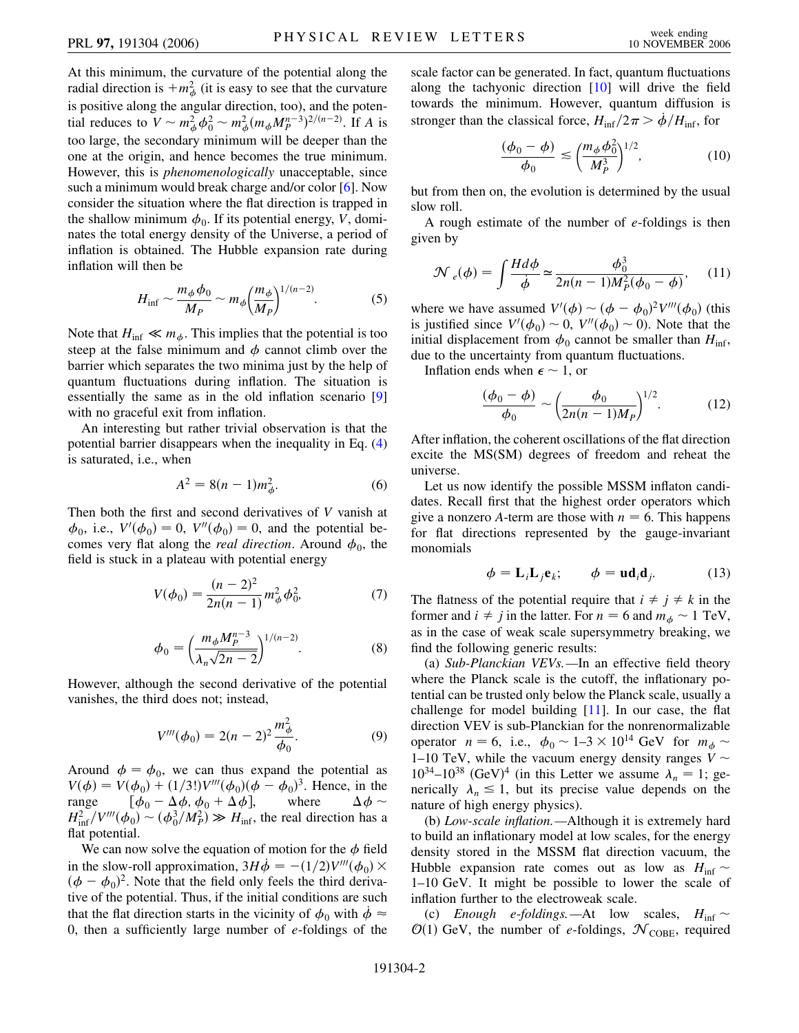At this minimum, the curvature of the potential along the radial direction is  $+m^2_{\phi}$  (it is easy to see that the curvature is positive along the angular direction, too), and the potential reduces to  $V \sim m_{\phi}^2 \phi_0^2 \sim m_{\phi}^2 (m_{\phi} M_P^{n-3})^{2/(n-2)}$ . If *A* is too large, the secondary minimum will be deeper than the one at the origin, and hence becomes the true minimum. However, this is *phenomenologically* unacceptable, since such a minimum would break charge and/or color [\[6\]](#page-3-5). Now consider the situation where the flat direction is trapped in the shallow minimum  $\phi_0$ . If its potential energy, *V*, dominates the total energy density of the Universe, a period of inflation is obtained. The Hubble expansion rate during inflation will then be

$$
H_{\rm inf} \sim \frac{m_{\phi}\phi_0}{M_P} \sim m_{\phi} \left(\frac{m_{\phi}}{M_P}\right)^{1/(n-2)}.\tag{5}
$$

Note that  $H_{\text{inf}} \ll m_{\phi}$ . This implies that the potential is too steep at the false minimum and  $\phi$  cannot climb over the barrier which separates the two minima just by the help of quantum fluctuations during inflation. The situation is essentially the same as in the old inflation scenario [\[9\]](#page-3-8) with no graceful exit from inflation.

<span id="page-1-3"></span>An interesting but rather trivial observation is that the potential barrier disappears when the inequality in Eq. [\(4\)](#page-0-1) is saturated, i.e., when

$$
A^2 = 8(n-1)m_{\phi}^2.
$$
 (6)

Then both the first and second derivatives of *V* vanish at  $\phi_0$ , i.e.,  $V'(\phi_0) = 0$ ,  $V''(\phi_0) = 0$ , and the potential becomes very flat along the *real direction*. Around  $\phi_0$ , the field is stuck in a plateau with potential energy

$$
V(\phi_0) = \frac{(n-2)^2}{2n(n-1)} m_{\phi}^2 \phi_0^2,
$$
 (7)

$$
\phi_0 = \left(\frac{m_\phi M_P^{n-3}}{\lambda_n \sqrt{2n-2}}\right)^{1/(n-2)}.\tag{8}
$$

<span id="page-1-1"></span>However, although the second derivative of the potential vanishes, the third does not; instead,

$$
V'''(\phi_0) = 2(n-2)^2 \frac{m_\phi^2}{\phi_0}.
$$
 (9)

Around  $\phi = \phi_0$ , we can thus expand the potential as  $V(\phi) = V(\phi_0) + (1/3!)V'''(\phi_0)(\phi - \phi_0)^3$ . Hence, in the range  $\left[\phi_0 - \Delta\phi, \phi_0 + \Delta\phi\right]$ where  $\phi \sim$  $H_{\text{inf}}^2 / V'''(\phi_0) \sim (\phi_0^3 / M_P^2) \gg H_{\text{inf}}$ , the real direction has a flat potential.

We can now solve the equation of motion for the  $\phi$  field in the slow-roll approximation,  $3H\dot{\phi} = -(1/2)V'''(\phi_0) \times$  $(\phi - \phi_0)^2$ . Note that the field only feels the third derivative of the potential. Thus, if the initial conditions are such that the flat direction starts in the vicinity of  $\phi_0$  with  $\dot{\phi} \approx$ 0, then a sufficiently large number of *e*-foldings of the <span id="page-1-0"></span>scale factor can be generated. In fact, quantum fluctuations along the tachyonic direction [[10](#page-3-9)] will drive the field towards the minimum. However, quantum diffusion is stronger than the classical force,  $H_{\text{inf}}/2\pi > \dot{\phi}/H_{\text{inf}}$ , for

$$
\frac{(\phi_0 - \phi)}{\phi_0} \lesssim \left(\frac{m_\phi \phi_0^2}{M_P^3}\right)^{1/2},\tag{10}
$$

but from then on, the evolution is determined by the usual slow roll.

<span id="page-1-2"></span>A rough estimate of the number of *e*-foldings is then given by

$$
\mathcal{N}_e(\phi) = \int \frac{H d\phi}{\dot{\phi}} \simeq \frac{\phi_0^3}{2n(n-1)M_P^2(\phi_0 - \phi)},\tag{11}
$$

where we have assumed  $V'(\phi) \sim (\phi - \phi_0)^2 V'''(\phi_0)$  (this is justified since  $V'(\phi_0) \sim 0$ ,  $V''(\phi_0) \sim 0$ ). Note that the initial displacement from  $\phi_0$  cannot be smaller than  $H_{\text{inf}}$ , due to the uncertainty from quantum fluctuations.

Inflation ends when  $\epsilon \sim 1$ , or

$$
\frac{(\phi_0 - \phi)}{\phi_0} \sim \left(\frac{\phi_0}{2n(n-1)M_P}\right)^{1/2}.\tag{12}
$$

After inflation, the coherent oscillations of the flat direction excite the MS(SM) degrees of freedom and reheat the universe.

Let us now identify the possible MSSM inflaton candidates. Recall first that the highest order operators which give a nonzero *A*-term are those with  $n = 6$ . This happens for flat directions represented by the gauge-invariant monomials

$$
\phi = \mathbf{L}_i \mathbf{L}_j \mathbf{e}_k; \qquad \phi = \mathbf{u} \mathbf{d}_i \mathbf{d}_j. \tag{13}
$$

<span id="page-1-4"></span>The flatness of the potential require that  $i \neq j \neq k$  in the former and  $i \neq j$  in the latter. For  $n = 6$  and  $m_{\phi} \sim 1$  TeV, as in the case of weak scale supersymmetry breaking, we find the following generic results:

(a) *Sub-Planckian VEVs.—*In an effective field theory where the Planck scale is the cutoff, the inflationary potential can be trusted only below the Planck scale, usually a challenge for model building [[11](#page-3-10)]. In our case, the flat direction VEV is sub-Planckian for the nonrenormalizable operator  $n = 6$ , i.e.,  $\phi_0 \sim 1-3 \times 10^{14}$  GeV for  $m_\phi \sim$ 1–10 TeV, while the vacuum energy density ranges  $V \sim$  $10^{34}$ -10<sup>38</sup> (GeV)<sup>4</sup> (in this Letter we assume  $\lambda_n = 1$ ; generically  $\lambda_n \leq 1$ , but its precise value depends on the nature of high energy physics).

(b) *Low-scale inflation.—*Although it is extremely hard to build an inflationary model at low scales, for the energy density stored in the MSSM flat direction vacuum, the Hubble expansion rate comes out as low as  $H_{\text{inf}} \sim$ 1–10 GeV. It might be possible to lower the scale of inflation further to the electroweak scale.

(c) *Enough e-foldings.*—At low scales,  $H_{\text{inf}} \sim$  $\mathcal{O}(1)$  GeV, the number of *e*-foldings,  $\mathcal{N}_{\text{COBE}}$ , required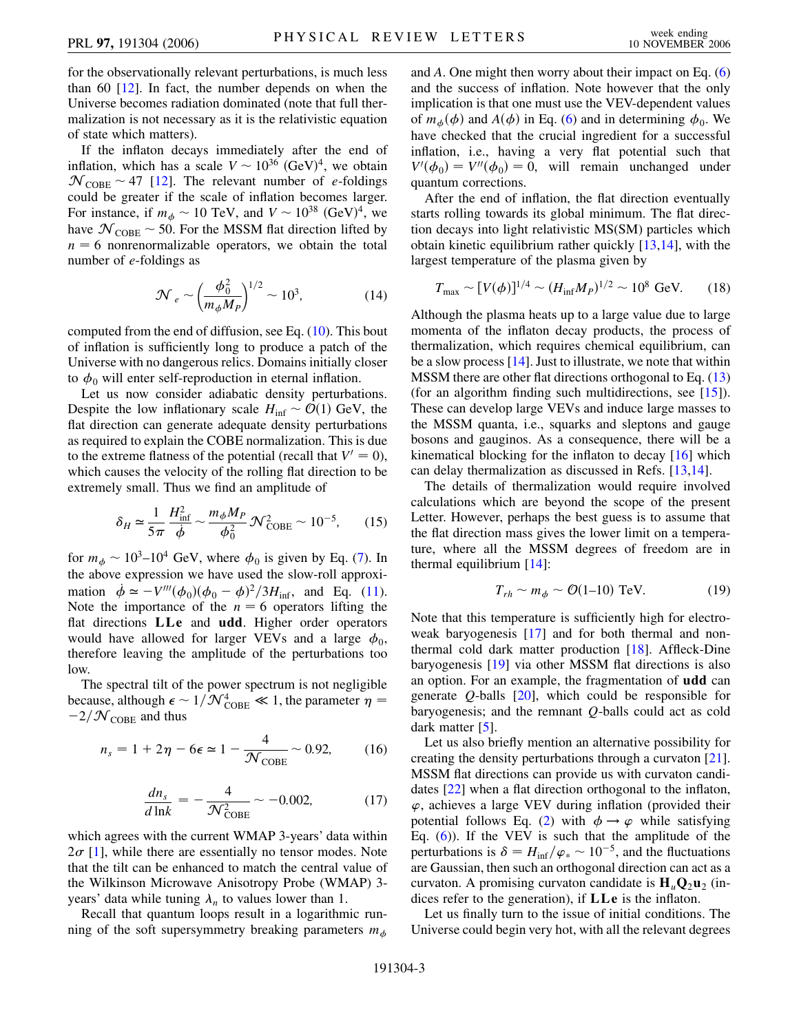for the observationally relevant perturbations, is much less than 60  $[12]$  $[12]$  $[12]$ . In fact, the number depends on when the Universe becomes radiation dominated (note that full thermalization is not necessary as it is the relativistic equation of state which matters).

If the inflaton decays immediately after the end of inflation, which has a scale  $V \sim 10^{36}$  (GeV)<sup>4</sup>, we obtain  $\mathcal{N}_{\text{COBE}} \sim 47$  [[12](#page-3-11)]. The relevant number of *e*-foldings could be greater if the scale of inflation becomes larger. For instance, if  $m_{\phi} \sim 10$  TeV, and  $V \sim 10^{38}$  (GeV)<sup>4</sup>, we have  $\mathcal{N}_{\text{COBE}}$  ~ 50. For the MSSM flat direction lifted by  $n = 6$  nonrenormalizable operators, we obtain the total number of *e*-foldings as

$$
\mathcal{N}_e \sim \left(\frac{\phi_0^2}{m_\phi M_P}\right)^{1/2} \sim 10^3,\tag{14}
$$

computed from the end of diffusion, see Eq. ([10](#page-1-0)). This bout of inflation is sufficiently long to produce a patch of the Universe with no dangerous relics. Domains initially closer to  $\phi_0$  will enter self-reproduction in eternal inflation.

Let us now consider adiabatic density perturbations. Despite the low inflationary scale  $H_{\text{inf}} \sim \mathcal{O}(1)$  GeV, the flat direction can generate adequate density perturbations as required to explain the COBE normalization. This is due to the extreme flatness of the potential (recall that  $V' = 0$ ), which causes the velocity of the rolling flat direction to be extremely small. Thus we find an amplitude of

$$
\delta_H \simeq \frac{1}{5\pi} \frac{H_{\text{inf}}^2}{\dot{\phi}} \sim \frac{m_\phi M_P}{\phi_0^2} \mathcal{N}_{\text{COBE}}^2 \sim 10^{-5},\qquad(15)
$$

for  $m_{\phi} \sim 10^3$ –10<sup>4</sup> GeV, where  $\phi_0$  is given by Eq. ([7\)](#page-1-1). In the above expression we have used the slow-roll approximation  $\dot{\phi} \simeq -V'''(\phi_0)(\phi_0 - \phi)^2/3H_{\text{inf}}$ , and Eq. [\(11\)](#page-1-2). Note the importance of the  $n = 6$  operators lifting the flat directions **LLe** and **udd**. Higher order operators would have allowed for larger VEVs and a large  $\phi_0$ , therefore leaving the amplitude of the perturbations too low.

The spectral tilt of the power spectrum is not negligible because, although  $\epsilon \sim 1/\mathcal{N}_{\mathrm{COBE}}^4 \ll 1$ , the parameter  $\eta =$  $-2/\mathcal{N}_{\text{COBE}}$  and thus

$$
n_s = 1 + 2\eta - 6\epsilon \simeq 1 - \frac{4}{\mathcal{N}_{\text{COBE}}} \sim 0.92,\qquad(16)
$$

$$
\frac{dn_s}{d \ln k} = -\frac{4}{\mathcal{N}_{\text{COBE}}^2} \sim -0.002,\tag{17}
$$

which agrees with the current WMAP 3-years' data within  $2\sigma$  [\[1\]](#page-3-0), while there are essentially no tensor modes. Note that the tilt can be enhanced to match the central value of the Wilkinson Microwave Anisotropy Probe (WMAP) 3 years' data while tuning  $\lambda_n$  to values lower than 1.

Recall that quantum loops result in a logarithmic running of the soft supersymmetry breaking parameters *m-* and *A*. One might then worry about their impact on Eq. [\(6\)](#page-1-3) and the success of inflation. Note however that the only implication is that one must use the VEV-dependent values of  $m_{\phi}(\phi)$  and  $A(\phi)$  in Eq. ([6\)](#page-1-3) and in determining  $\phi_0$ . We have checked that the crucial ingredient for a successful inflation, i.e., having a very flat potential such that  $V'(\phi_0) = V''(\phi_0) = 0$ , will remain unchanged under quantum corrections.

After the end of inflation, the flat direction eventually starts rolling towards its global minimum. The flat direction decays into light relativistic MS(SM) particles which obtain kinetic equilibrium rather quickly [\[13](#page-3-12)[,14\]](#page-3-13), with the largest temperature of the plasma given by

$$
T_{\text{max}} \sim [V(\phi)]^{1/4} \sim (H_{\text{inf}} M_P)^{1/2} \sim 10^8 \text{ GeV.}
$$
 (18)

Although the plasma heats up to a large value due to large momenta of the inflaton decay products, the process of thermalization, which requires chemical equilibrium, can be a slow process  $[14]$ . Just to illustrate, we note that within MSSM there are other flat directions orthogonal to Eq. [\(13\)](#page-1-4) (for an algorithm finding such multidirections, see [\[15](#page-3-14)]). These can develop large VEVs and induce large masses to the MSSM quanta, i.e., squarks and sleptons and gauge bosons and gauginos. As a consequence, there will be a kinematical blocking for the inflaton to decay [\[16\]](#page-3-15) which can delay thermalization as discussed in Refs. [\[13,](#page-3-12)[14\]](#page-3-13).

The details of thermalization would require involved calculations which are beyond the scope of the present Letter. However, perhaps the best guess is to assume that the flat direction mass gives the lower limit on a temperature, where all the MSSM degrees of freedom are in thermal equilibrium [[14](#page-3-13)]:

$$
T_{rh} \sim m_{\phi} \sim \mathcal{O}(1-10) \text{ TeV}.
$$
 (19)

Note that this temperature is sufficiently high for electroweak baryogenesis [[17](#page-3-16)] and for both thermal and nonthermal cold dark matter production [\[18\]](#page-3-17). Affleck-Dine baryogenesis [[19](#page-3-18)] via other MSSM flat directions is also an option. For an example, the fragmentation of **udd** can generate *Q*-balls [[20](#page-3-19)], which could be responsible for baryogenesis; and the remnant *Q*-balls could act as cold dark matter [\[5](#page-3-4)].

Let us also briefly mention an alternative possibility for creating the density perturbations through a curvaton [[21\]](#page-3-20). MSSM flat directions can provide us with curvaton candidates [\[22](#page-3-21)] when a flat direction orthogonal to the inflaton, *'*, achieves a large VEV during inflation (provided their potential follows Eq. [\(2\)](#page-0-0) with  $\phi \rightarrow \varphi$  while satisfying Eq.  $(6)$  $(6)$ ). If the VEV is such that the amplitude of the perturbations is  $\delta = H_{\text{inf}}/\varphi_* \sim 10^{-5}$ , and the fluctuations are Gaussian, then such an orthogonal direction can act as a curvaton. A promising curvaton candidate is  $H_u Q_2 u_2$  (indices refer to the generation), if **LLe** is the inflaton.

Let us finally turn to the issue of initial conditions. The Universe could begin very hot, with all the relevant degrees